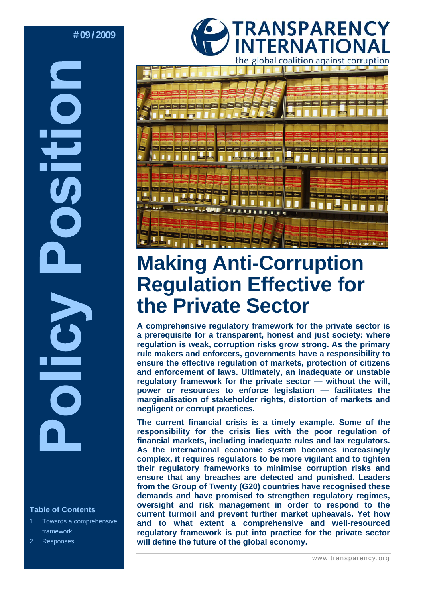# **# 09 / 2009**

# **Table of Contents**

- 1. Towards a comprehensive framework
- 2. Responses





# **Making Anti-Corruption Regulation Effective for the Private Sector**

**A comprehensive regulatory framework for the private sector is a prerequisite for a transparent, honest and just society: where regulation is weak, corruption risks grow strong. As the primary rule makers and enforcers, governments have a responsibility to ensure the effective regulation of markets, protection of citizens and enforcement of laws. Ultimately, an inadequate or unstable regulatory framework for the private sector — without the will, power or resources to enforce legislation — facilitates the marginalisation of stakeholder rights, distortion of markets and negligent or corrupt practices.** 

**The current financial crisis is a timely example. Some of the responsibility for the crisis lies with the poor regulation of financial markets, including inadequate rules and lax regulators. As the international economic system becomes increasingly complex, it requires regulators to be more vigilant and to tighten their regulatory frameworks to minimise corruption risks and ensure that any breaches are detected and punished. Leaders from the Group of Twenty (G20) countries have recognised these demands and have promised to strengthen regulatory regimes, oversight and risk management in order to respond to the current turmoil and prevent further market upheavals. Yet how and to what extent a comprehensive and well-resourced regulatory framework is put into practice for the private sector will define the future of the global economy.**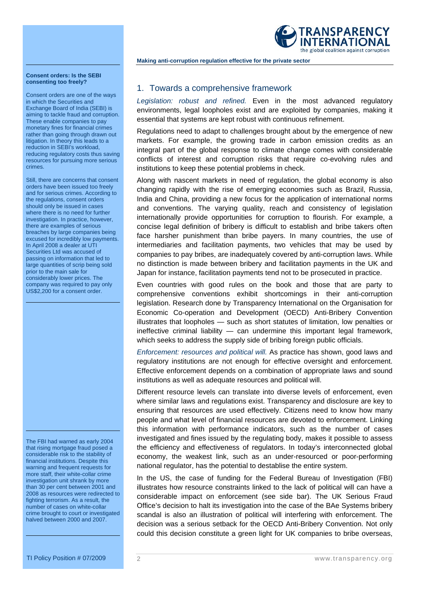

**Making anti-corruption regulation effective for the private sector** 

#### **Consent orders: Is the SEBI consenting too freely?**

Consent orders are one of the ways in which the Securities and Exchange Board of India (SEBI) is aiming to tackle fraud and corruption. These enable companies to pay monetary fines for financial crimes rather than going through drawn out litigation. In theory this leads to a reduction in SEBI's workload, reducing regulatory costs thus saving resources for pursuing more serious crimes.

Still, there are concerns that consent orders have been issued too freely and for serious crimes. According to the regulations, consent orders should only be issued in cases where there is no need for further investigation. In practice, however, there are examples of serious breaches by large companies being excused for incredibly low payments. In April 2008 a dealer at UTI Securities Ltd was accused of passing on information that led to large quantities of scrip being sold prior to the main sale for considerably lower prices. The company was required to pay only US\$2,200 for a consent order.

The FBI had warned as early 2004 that rising mortgage fraud posed a considerable risk to the stability of financial institutions. Despite this warning and frequent requests for more staff, their white-collar crime investigation unit shrank by more than 30 per cent between 2001 and 2008 as resources were redirected to fighting terrorism. As a result, the number of cases on white-collar crime brought to court or investigated halved between 2000 and 2007.

# 1. Towards a comprehensive framework

*Legislation: robust and refined.* Even in the most advanced regulatory environments, legal loopholes exist and are exploited by companies, making it essential that systems are kept robust with continuous refinement.

Regulations need to adapt to challenges brought about by the emergence of new markets. For example, the growing trade in carbon emission credits as an integral part of the global response to climate change comes with considerable conflicts of interest and corruption risks that require co-evolving rules and institutions to keep these potential problems in check.

Along with nascent markets in need of regulation, the global economy is also changing rapidly with the rise of emerging economies such as Brazil, Russia, India and China, providing a new focus for the application of international norms and conventions. The varying quality, reach and consistency of legislation internationally provide opportunities for corruption to flourish. For example, a concise legal definition of bribery is difficult to establish and bribe takers often face harsher punishment than bribe payers. In many countries, the use of intermediaries and facilitation payments, two vehicles that may be used by companies to pay bribes, are inadequately covered by anti-corruption laws. While no distinction is made between bribery and facilitation payments in the UK and Japan for instance, facilitation payments tend not to be prosecuted in practice.

Even countries with good rules on the book and those that are party to comprehensive conventions exhibit shortcomings in their anti-corruption legislation. Research done by Transparency International on the Organisation for Economic Co-operation and Development (OECD) Anti-Bribery Convention illustrates that loopholes — such as short statutes of limitation, low penalties or ineffective criminal liability — can undermine this important legal framework, which seeks to address the supply side of bribing foreign public officials.

*Enforcement: resources and political will.* As practice has shown, good laws and regulatory institutions are not enough for effective oversight and enforcement. Effective enforcement depends on a combination of appropriate laws and sound institutions as well as adequate resources and political will.

Different resource levels can translate into diverse levels of enforcement, even where similar laws and regulations exist. Transparency and disclosure are key to ensuring that resources are used effectively. Citizens need to know how many people and what level of financial resources are devoted to enforcement. Linking this information with performance indicators, such as the number of cases investigated and fines issued by the regulating body, makes it possible to assess the efficiency and effectiveness of regulators. In today's interconnected global economy, the weakest link, such as an under-resourced or poor-performing national regulator, has the potential to destablise the entire system.

In the US, the case of funding for the Federal Bureau of Investigation (FBI) illustrates how resource constraints linked to the lack of political will can have a considerable impact on enforcement (see side bar). The UK Serious Fraud Office's decision to halt its investigation into the case of the BAe Systems bribery scandal is also an illustration of political will interfering with enforcement. The decision was a serious setback for the OECD Anti-Bribery Convention. Not only could this decision constitute a green light for UK companies to bribe overseas,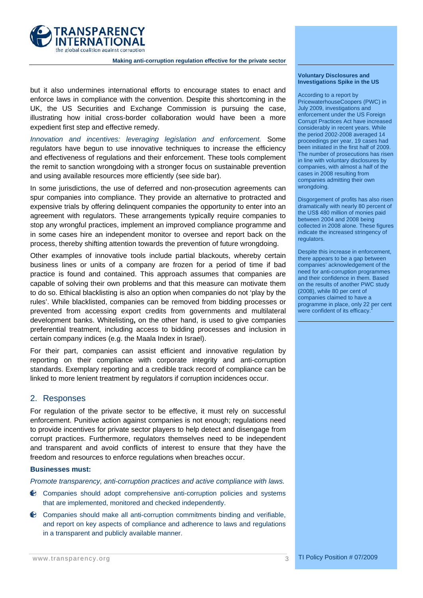

**Making anti-corruption regulation effective for the private sector** 

# but it also undermines international efforts to encourage states to enact and enforce laws in compliance with the convention. Despite this shortcoming in the UK, the US Securities and Exchange Commission is pursuing the case, illustrating how initial cross-border collaboration would have been a more expedient first step and effective remedy.

*Innovation and incentives: leveraging legislation and enforcement.* Some regulators have begun to use innovative techniques to increase the efficiency and effectiveness of regulations and their enforcement. These tools complement the remit to sanction wrongdoing with a stronger focus on sustainable prevention and using available resources more efficiently (see side bar).

In some jurisdictions, the use of deferred and non-prosecution agreements can spur companies into compliance. They provide an alternative to protracted and expensive trials by offering delinquent companies the opportunity to enter into an agreement with regulators. These arrangements typically require companies to stop any wrongful practices, implement an improved compliance programme and in some cases hire an independent monitor to oversee and report back on the process, thereby shifting attention towards the prevention of future wrongdoing.

Other examples of innovative tools include partial blackouts, whereby certain business lines or units of a company are frozen for a period of time if bad practice is found and contained. This approach assumes that companies are capable of solving their own problems and that this measure can motivate them to do so. Ethical blacklisting is also an option when companies do not 'play by the rules'. While blacklisted, companies can be removed from bidding processes or prevented from accessing export credits from governments and multilateral development banks. Whitelisting**,** on the other hand, is used to give companies preferential treatment, including access to bidding processes and inclusion in certain company indices (e.g. the Maala Index in Israel).

For their part, companies can assist efficient and innovative regulation by reporting on their compliance with corporate integrity and anti-corruption standards. Exemplary reporting and a credible track record of compliance can be linked to more lenient treatment by regulators if corruption incidences occur.

# 2. Responses

For regulation of the private sector to be effective, it must rely on successful enforcement. Punitive action against companies is not enough; regulations need to provide incentives for private sector players to help detect and disengage from corrupt practices. Furthermore, regulators themselves need to be independent and transparent and avoid conflicts of interest to ensure that they have the freedom and resources to enforce regulations when breaches occur.

## **Businesses must:**

*Promote transparency, anti-corruption practices and active compliance with laws.*

- Companies should adopt comprehensive anti-corruption policies and systems that are implemented, monitored and checked independently.
- Companies should make all anti-corruption commitments binding and verifiable, and report on key aspects of compliance and adherence to laws and regulations in a transparent and publicly available manner.

#### **Voluntary Disclosures and Investigations Spike in the US**

According to a report by PricewaterhouseCoopers (PWC) in July 2009, investigations and enforcement under the US Foreign Corrupt Practices Act have increased considerably in recent years. While the period 2002-2008 averaged 14 proceedings per year, 19 cases had been initiated in the first half of 2009. The number of prosecutions has risen in line with voluntary disclosures by companies, with almost a half of the cases in 2008 resulting from companies admitting their own wrongdoing.

Disgorgement of profits has also risen dramatically with nearly 80 percent of the US\$ 480 million of monies paid between 2004 and 2008 being collected in 2008 alone. These figures indicate the increased stringency of regulators.

Despite this increase in enforcement, there appears to be a gap between companies' acknowledgement of the need for anti-corruption programmes and their confidence in them. Based on the results of another PWC study (2008), while 80 per cent of companies claimed to have a programme in place, only 22 per cent were confident of its efficacy.